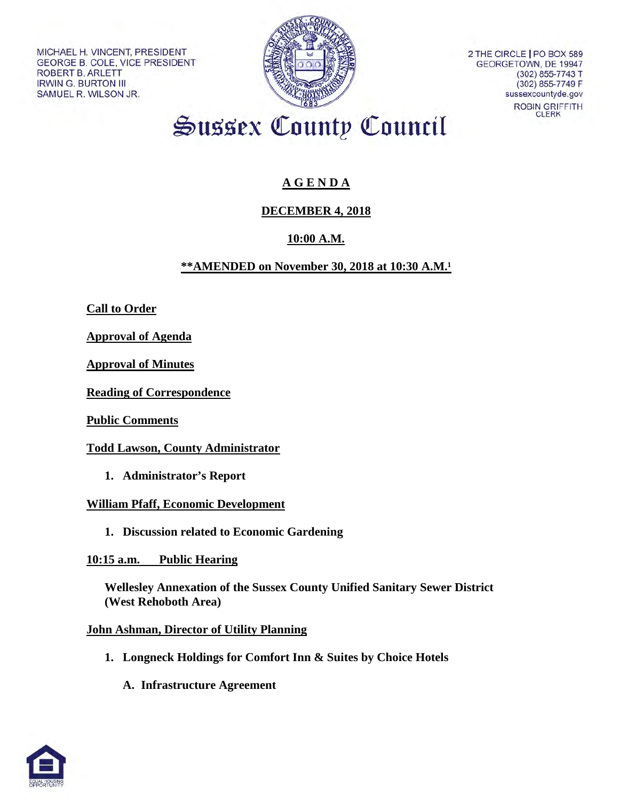MICHAEL H. VINCENT, PRESIDENT GEORGE B. COLE, VICE PRESIDENT **ROBERT B. ARLETT IRWIN G. BURTON III** SAMUEL R. WILSON JR.



2 THE CIRCLE I PO BOX 589 GEORGETOWN, DE 19947 (302) 855-7743 T (302) 855-7749 F sussexcountyde.gov ROBIN GRIFFITH **CLERK** 

Sussex County Council

# **A G E N D A**

## **DECEMBER 4, 2018**

## **10:00 A.M.**

## **\*\*AMENDED on November 30, 2018 at 10:30 A.M.**<sup>1</sup>

**Call to Order**

**Approval of Agenda** 

**Approval of Minutes** 

**Reading of Correspondence**

**Public Comments**

**Todd Lawson, County Administrator**

 **1. Administrator's Report**

### **William Pfaff, Economic Development**

**1. Discussion related to Economic Gardening**

**10:15 a.m. Public Hearing**

**Wellesley Annexation of the Sussex County Unified Sanitary Sewer District (West Rehoboth Area)**

### **John Ashman, Director of Utility Planning**

- **1. Longneck Holdings for Comfort Inn & Suites by Choice Hotels** 
	- **A. Infrastructure Agreement**

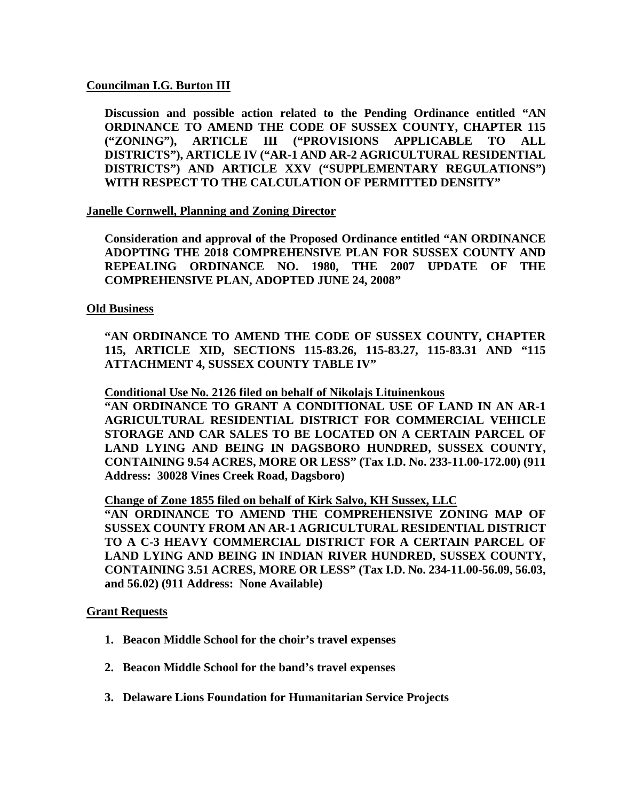#### **Councilman I.G. Burton III**

**Discussion and possible action related to the Pending Ordinance entitled "AN ORDINANCE TO AMEND THE CODE OF SUSSEX COUNTY, CHAPTER 115 ("ZONING"), ARTICLE III ("PROVISIONS APPLICABLE TO ALL DISTRICTS"), ARTICLE IV ("AR-1 AND AR-2 AGRICULTURAL RESIDENTIAL DISTRICTS") AND ARTICLE XXV ("SUPPLEMENTARY REGULATIONS") WITH RESPECT TO THE CALCULATION OF PERMITTED DENSITY"**

#### **Janelle Cornwell, Planning and Zoning Director**

**Consideration and approval of the Proposed Ordinance entitled "AN ORDINANCE ADOPTING THE 2018 COMPREHENSIVE PLAN FOR SUSSEX COUNTY AND REPEALING ORDINANCE NO. 1980, THE 2007 UPDATE OF THE COMPREHENSIVE PLAN, ADOPTED JUNE 24, 2008"** 

#### **Old Business**

**"AN ORDINANCE TO AMEND THE CODE OF SUSSEX COUNTY, CHAPTER 115, ARTICLE XID, SECTIONS 115-83.26, 115-83.27, 115-83.31 AND "115 ATTACHMENT 4, SUSSEX COUNTY TABLE IV"**

**Conditional Use No. 2126 filed on behalf of Nikolajs Lituinenkous**

**"AN ORDINANCE TO GRANT A CONDITIONAL USE OF LAND IN AN AR-1 AGRICULTURAL RESIDENTIAL DISTRICT FOR COMMERCIAL VEHICLE STORAGE AND CAR SALES TO BE LOCATED ON A CERTAIN PARCEL OF LAND LYING AND BEING IN DAGSBORO HUNDRED, SUSSEX COUNTY, CONTAINING 9.54 ACRES, MORE OR LESS" (Tax I.D. No. 233-11.00-172.00) (911 Address: 30028 Vines Creek Road, Dagsboro)** 

#### **Change of Zone 1855 filed on behalf of Kirk Salvo, KH Sussex, LLC**

**"AN ORDINANCE TO AMEND THE COMPREHENSIVE ZONING MAP OF SUSSEX COUNTY FROM AN AR-1 AGRICULTURAL RESIDENTIAL DISTRICT TO A C-3 HEAVY COMMERCIAL DISTRICT FOR A CERTAIN PARCEL OF LAND LYING AND BEING IN INDIAN RIVER HUNDRED, SUSSEX COUNTY, CONTAINING 3.51 ACRES, MORE OR LESS" (Tax I.D. No. 234-11.00-56.09, 56.03, and 56.02) (911 Address: None Available)** 

#### **Grant Requests**

- **1. Beacon Middle School for the choir's travel expenses**
- **2. Beacon Middle School for the band's travel expenses**
- **3. Delaware Lions Foundation for Humanitarian Service Projects**